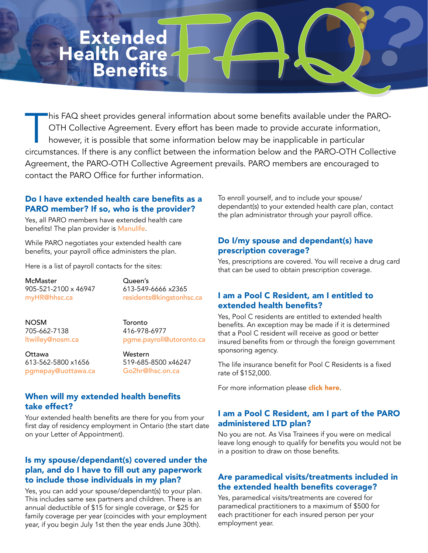# **Extended** Health Care **Benefits**

This FAQ sheet provides general information about some benefits available under the PARO-<br>OTH Collective Agreement. Every effort has been made to provide accurate information,<br>however, it is possible that some information OTH Collective Agreement. Every effort has been made to provide accurate information, however, it is possible that some information below may be inapplicable in particular circumstances. If there is any confict between the information below and the PARO-OTH Collective Agreement, the PARO-OTH Collective Agreement prevails. PARO members are encouraged to contact the PARO Office for further information.

## Do I have extended health care benefits as a PARO member? If so, who is the provider?

Yes, all PARO members have extended health care benefits! The plan provider is [Manulife](https://www.manulife.ca/for-you.html).

While PARO negotiates your extended health care benefits, your payroll office administers the plan.

Here is a list of payroll contacts for the sites:

McMaster **Queen's**<br>
905-521-2100 x 46947 613-549-6666 x2365 905-521-2100 x 46947

myHR@hhsc.ca [residents@kingstonhsc.ca](mailto:residents%40kingstonhsc.ca?subject=residents%40kingstonhsc.ca)

NOSM Toronto<br>705-662-7138 416-978-6977 705-662-7138<br>Itwilley@nosm.ca

pgme.payroll@utoronto.ca

**Ottawa** Western<br>613-562-5800 x1656 519-685[pgmepay@uottawa.ca](mailto:pgmepay%40uottawa.ca?subject=) [Go2hr@lhsc.on.ca](mailto:Go2hr%40lhsc.on.ca?subject=)

519-685-8500 x46247

## When will my extended health benefits take effect?

Your extended health benefits are there for you from your first day of residency employment in Ontario (the start date on your Letter of Appointment).

## Is my spouse/dependant(s) covered under the plan, and do I have to fill out any paperwork to include those individuals in my plan?

Yes, you can add your spouse/dependant(s) to your plan. This includes same sex partners and children. There is an annual deductible of \$15 for single coverage, or \$25 for family coverage per year (coincides with your employment year, if you begin July 1st then the year ends June 30th).

To enroll yourself, and to include your spouse/ dependant(s) to your extended health care plan, contact the plan administrator through your payroll office.

## Do I/my spouse and dependant(s) have prescription coverage?

Yes, prescriptions are covered. You will receive a drug card that can be used to obtain prescription coverage.

## I am a Pool C Resident, am I entitled to extended health benefits?

Yes, Pool C residents are entitled to extended health benefits. An exception may be made if it is determined that a Pool C resident will receive as good or better insured benefits from or through the foreign government sponsoring agency.

The life insurance benefit for Pool C Residents is a fixed rate of \$152,000.

For more information please [click here](http://www.myparo.ca/your-contract/#schedule-a-8211-implementation-of-collective-agreement-for-pool-c-residents).

## I am a Pool C Resident, am I part of the PARO administered LTD plan?

No you are not. As Visa Trainees if you were on medical leave long enough to qualify for benefits you would not be in a position to draw on those benefits.

## Are paramedical visits/treatments included in the extended health benefits coverage?

Yes, paramedical visits/treatments are covered for paramedical practitioners to a maximum of \$500 for each practitioner for each insured person per your employment year.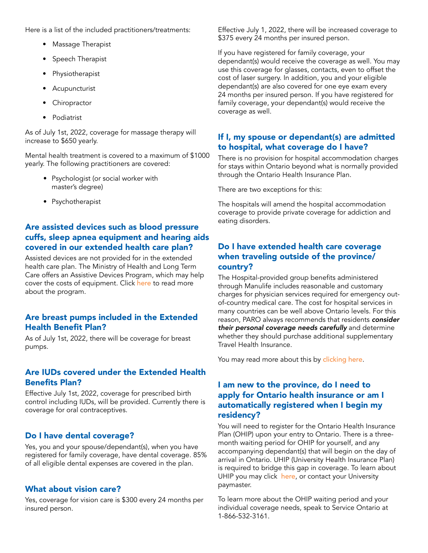Here is a list of the included practitioners/treatments:

- Massage Therapist
- Speech Therapist
- Physiotherapist
- Acupuncturist
- Chiropractor
- Podiatrist

As of July 1st, 2022, coverage for massage therapy will increase to \$650 yearly.

Mental health treatment is covered to a maximum of \$1000 yearly. The following practitioners are covered:

- Psychologist (or social worker with master's degree)
- Psychotherapist

# Are assisted devices such as blood pressure cuffs, sleep apnea equipment and hearing aids covered in our extended health care plan?

Assisted devices are not provided for in the extended health care plan. The Ministry of Health and Long Term Care offers an Assistive Devices Program, which may help cover the costs of equipment. Click [here](https://www.ontario.ca/page/assistive-devices-program) to read more about the program.

## Are breast pumps included in the Extended **Health Benefit Plan?**

As of July 1st, 2022, there will be coverage for breast pumps.

#### Are IUDs covered under the Extended Health **Benefits Plan?**

Effective July 1st, 2022, coverage for prescribed birth control including IUDs, will be provided. Currently there is coverage for oral contraceptives.

#### Do I have dental coverage?

Yes, you and your spouse/dependant(s), when you have registered for family coverage, have dental coverage. 85% of all eligible dental expenses are covered in the plan.

#### What about vision care?

Yes, coverage for vision care is \$300 every 24 months per insured person.

Effective July 1, 2022, there will be increased coverage to \$375 every 24 months per insured person.

If you have registered for family coverage, your dependant(s) would receive the coverage as well. You may use this coverage for glasses, contacts, even to offset the cost of laser surgery. In addition, you and your eligible dependant(s) are also covered for one eye exam every 24 months per insured person. If you have registered for family coverage, your dependant(s) would receive the coverage as well.

#### If I, my spouse or dependant(s) are admitted to hospital, what coverage do I have?

There is no provision for hospital accommodation charges for stays within Ontario beyond what is normally provided through the Ontario Health Insurance Plan.

There are two exceptions for this:

The hospitals will amend the hospital accommodation coverage to provide private coverage for addiction and eating disorders.

## Do I have extended health care coverage when traveling outside of the province/ country?

The Hospital-provided group benefits administered through Manulife includes reasonable and customary charges for physician services required for emergency outof-country medical care. The cost for hospital services in many countries can be well above Ontario levels. For this reason, PARO always recommends that residents consider their personal coverage needs carefully and determine whether they should purchase additional supplementary Travel Health Insurance.

You may read more about this by [clicking here](https://gallery.mailchimp.com/26a3593827dd86a449d7d6e0d/files/Travel_Insurance_2.pdf?utm_source=MASTER+SYNC+DATABASE&utm_campaign=0c80c184f6-EMAIL_CAMPAIGN_2016_11_30&utm_medium=email&utm_term=0_2221e74fba-0c80c184f6-45163185).

## I am new to the province, do I need to apply for Ontario health insurance or am I automatically registered when I begin my residency?

You will need to register for the Ontario Health Insurance Plan (OHIP) upon your entry to Ontario. There is a threemonth waiting period for OHIP for yourself, and any accompanying dependant(s) that will begin on the day of arrival in Ontario. UHIP (University Health Insurance Plan) is required to bridge this gap in coverage. To learn about UHIP you may click [here](http://uhip.ca/all-about-uhip.aspx), or contact your University paymaster.

To learn more about the OHIP waiting period and your individual coverage needs, speak to Service Ontario at 1-866-532-3161.